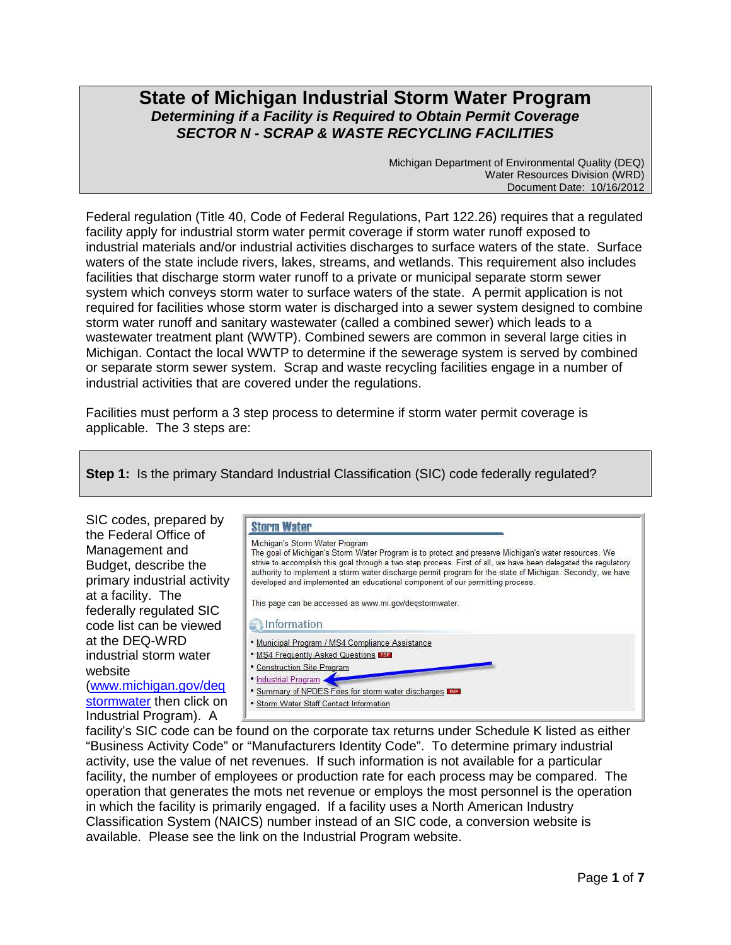# **State of Michigan Industrial Storm Water Program Determining if a Facility is Required to Obtain Permit Coverage SECTOR N - SCRAP & WASTE RECYCLING FACILITIES**

Michigan Department of Environmental Quality (DEQ) Water Resources Division (WRD) Document Date: 10/16/2012

Federal regulation (Title 40, Code of Federal Regulations, Part 122.26) requires that a regulated facility apply for industrial storm water permit coverage if storm water runoff exposed to industrial materials and/or industrial activities discharges to surface waters of the state. Surface waters of the state include rivers, lakes, streams, and wetlands. This requirement also includes facilities that discharge storm water runoff to a private or municipal separate storm sewer system which conveys storm water to surface waters of the state. A permit application is not required for facilities whose storm water is discharged into a sewer system designed to combine storm water runoff and sanitary wastewater (called a combined sewer) which leads to a wastewater treatment plant (WWTP). Combined sewers are common in several large cities in Michigan. Contact the local WWTP to determine if the sewerage system is served by combined or separate storm sewer system. Scrap and waste recycling facilities engage in a number of industrial activities that are covered under the regulations.

Facilities must perform a 3 step process to determine if storm water permit coverage is applicable. The 3 steps are:

**Step 1:** Is the primary Standard Industrial Classification (SIC) code federally regulated?



facility's SIC code can be found on the corporate tax returns under Schedule K listed as either "Business Activity Code" or "Manufacturers Identity Code". To determine primary industrial activity, use the value of net revenues. If such information is not available for a particular facility, the number of employees or production rate for each process may be compared. The operation that generates the mots net revenue or employs the most personnel is the operation in which the facility is primarily engaged. If a facility uses a North American Industry Classification System (NAICS) number instead of an SIC code, a conversion website is available. Please see the link on the Industrial Program website.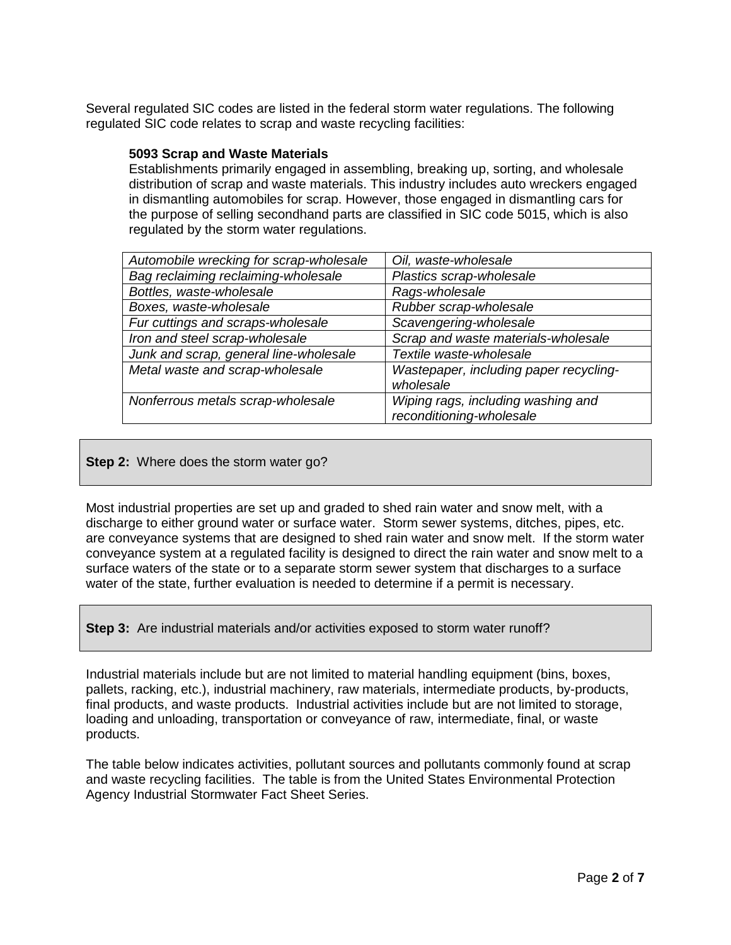Several regulated SIC codes are listed in the federal storm water regulations. The following regulated SIC code relates to scrap and waste recycling facilities:

#### **5093 Scrap and Waste Materials**

Establishments primarily engaged in assembling, breaking up, sorting, and wholesale distribution of scrap and waste materials. This industry includes auto wreckers engaged in dismantling automobiles for scrap. However, those engaged in dismantling cars for the purpose of selling secondhand parts are classified in SIC code 5015, which is also regulated by the storm water regulations.

| Automobile wrecking for scrap-wholesale | Oil, waste-wholesale                                |
|-----------------------------------------|-----------------------------------------------------|
| Bag reclaiming reclaiming-wholesale     | Plastics scrap-wholesale                            |
| Bottles, waste-wholesale                | Rags-wholesale                                      |
| Boxes, waste-wholesale                  | Rubber scrap-wholesale                              |
| Fur cuttings and scraps-wholesale       | Scavengering-wholesale                              |
| Iron and steel scrap-wholesale          | Scrap and waste materials-wholesale                 |
| Junk and scrap, general line-wholesale  | Textile waste-wholesale                             |
| Metal waste and scrap-wholesale         | Wastepaper, including paper recycling-<br>wholesale |
| Nonferrous metals scrap-wholesale       | Wiping rags, including washing and                  |
|                                         | reconditioning-wholesale                            |

### **Step 2:** Where does the storm water go?

Most industrial properties are set up and graded to shed rain water and snow melt, with a discharge to either ground water or surface water. Storm sewer systems, ditches, pipes, etc. are conveyance systems that are designed to shed rain water and snow melt. If the storm water conveyance system at a regulated facility is designed to direct the rain water and snow melt to a surface waters of the state or to a separate storm sewer system that discharges to a surface water of the state, further evaluation is needed to determine if a permit is necessary.

**Step 3:** Are industrial materials and/or activities exposed to storm water runoff?

Industrial materials include but are not limited to material handling equipment (bins, boxes, pallets, racking, etc.), industrial machinery, raw materials, intermediate products, by-products, final products, and waste products. Industrial activities include but are not limited to storage, loading and unloading, transportation or conveyance of raw, intermediate, final, or waste products.

The table below indicates activities, pollutant sources and pollutants commonly found at scrap and waste recycling facilities. The table is from the United States Environmental Protection Agency Industrial Stormwater Fact Sheet Series.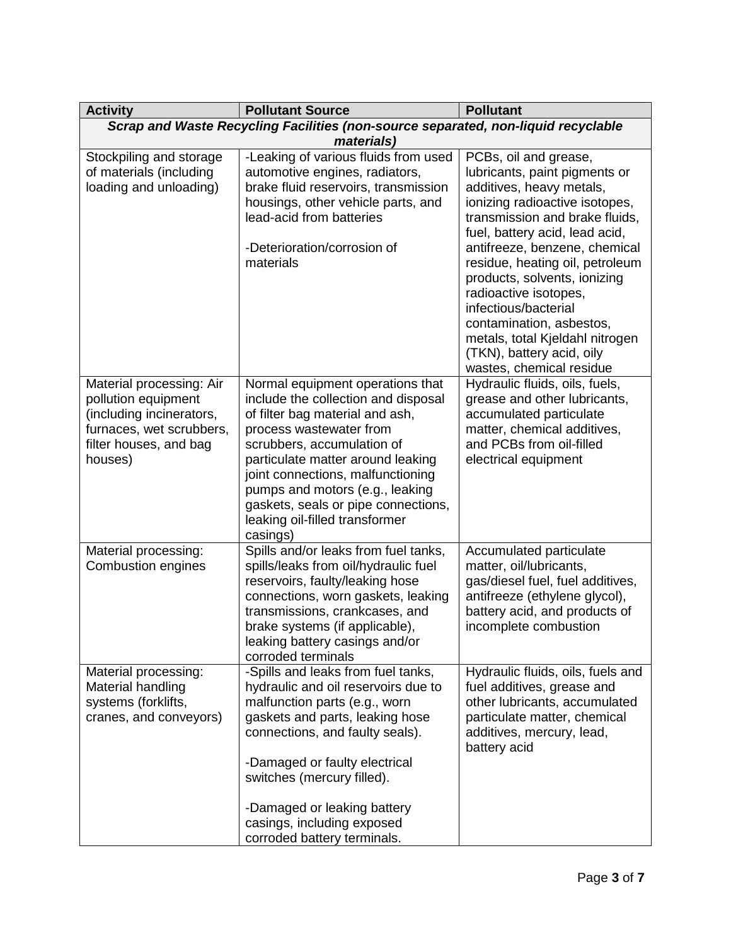| <b>Activity</b>                                                                                                                              | <b>Pollutant Source</b>                                                                                                                                                                                                                                                                                                                                               | <b>Pollutant</b>                                                                                                                                                                                                                                                                                                                                                                                                                                                      |  |  |
|----------------------------------------------------------------------------------------------------------------------------------------------|-----------------------------------------------------------------------------------------------------------------------------------------------------------------------------------------------------------------------------------------------------------------------------------------------------------------------------------------------------------------------|-----------------------------------------------------------------------------------------------------------------------------------------------------------------------------------------------------------------------------------------------------------------------------------------------------------------------------------------------------------------------------------------------------------------------------------------------------------------------|--|--|
| Scrap and Waste Recycling Facilities (non-source separated, non-liquid recyclable                                                            |                                                                                                                                                                                                                                                                                                                                                                       |                                                                                                                                                                                                                                                                                                                                                                                                                                                                       |  |  |
| materials)                                                                                                                                   |                                                                                                                                                                                                                                                                                                                                                                       |                                                                                                                                                                                                                                                                                                                                                                                                                                                                       |  |  |
| Stockpiling and storage<br>of materials (including<br>loading and unloading)                                                                 | -Leaking of various fluids from used<br>automotive engines, radiators,<br>brake fluid reservoirs, transmission<br>housings, other vehicle parts, and<br>lead-acid from batteries<br>-Deterioration/corrosion of<br>materials                                                                                                                                          | PCBs, oil and grease,<br>lubricants, paint pigments or<br>additives, heavy metals,<br>ionizing radioactive isotopes,<br>transmission and brake fluids,<br>fuel, battery acid, lead acid,<br>antifreeze, benzene, chemical<br>residue, heating oil, petroleum<br>products, solvents, ionizing<br>radioactive isotopes,<br>infectious/bacterial<br>contamination, asbestos,<br>metals, total Kjeldahl nitrogen<br>(TKN), battery acid, oily<br>wastes, chemical residue |  |  |
| Material processing: Air<br>pollution equipment<br>(including incinerators,<br>furnaces, wet scrubbers,<br>filter houses, and bag<br>houses) | Normal equipment operations that<br>include the collection and disposal<br>of filter bag material and ash,<br>process wastewater from<br>scrubbers, accumulation of<br>particulate matter around leaking<br>joint connections, malfunctioning<br>pumps and motors (e.g., leaking<br>gaskets, seals or pipe connections,<br>leaking oil-filled transformer<br>casings) | Hydraulic fluids, oils, fuels,<br>grease and other lubricants,<br>accumulated particulate<br>matter, chemical additives,<br>and PCBs from oil-filled<br>electrical equipment                                                                                                                                                                                                                                                                                          |  |  |
| Material processing:<br><b>Combustion engines</b>                                                                                            | Spills and/or leaks from fuel tanks,<br>spills/leaks from oil/hydraulic fuel<br>reservoirs, faulty/leaking hose<br>connections, worn gaskets, leaking<br>transmissions, crankcases, and<br>brake systems (if applicable),<br>leaking battery casings and/or<br>corroded terminals                                                                                     | Accumulated particulate<br>matter, oil/lubricants,<br>gas/diesel fuel, fuel additives,<br>antifreeze (ethylene glycol),<br>battery acid, and products of<br>incomplete combustion                                                                                                                                                                                                                                                                                     |  |  |
| Material processing:<br>Material handling<br>systems (forklifts,<br>cranes, and conveyors)                                                   | -Spills and leaks from fuel tanks,<br>hydraulic and oil reservoirs due to<br>malfunction parts (e.g., worn<br>gaskets and parts, leaking hose<br>connections, and faulty seals).<br>-Damaged or faulty electrical<br>switches (mercury filled).<br>-Damaged or leaking battery<br>casings, including exposed<br>corroded battery terminals.                           | Hydraulic fluids, oils, fuels and<br>fuel additives, grease and<br>other lubricants, accumulated<br>particulate matter, chemical<br>additives, mercury, lead,<br>battery acid                                                                                                                                                                                                                                                                                         |  |  |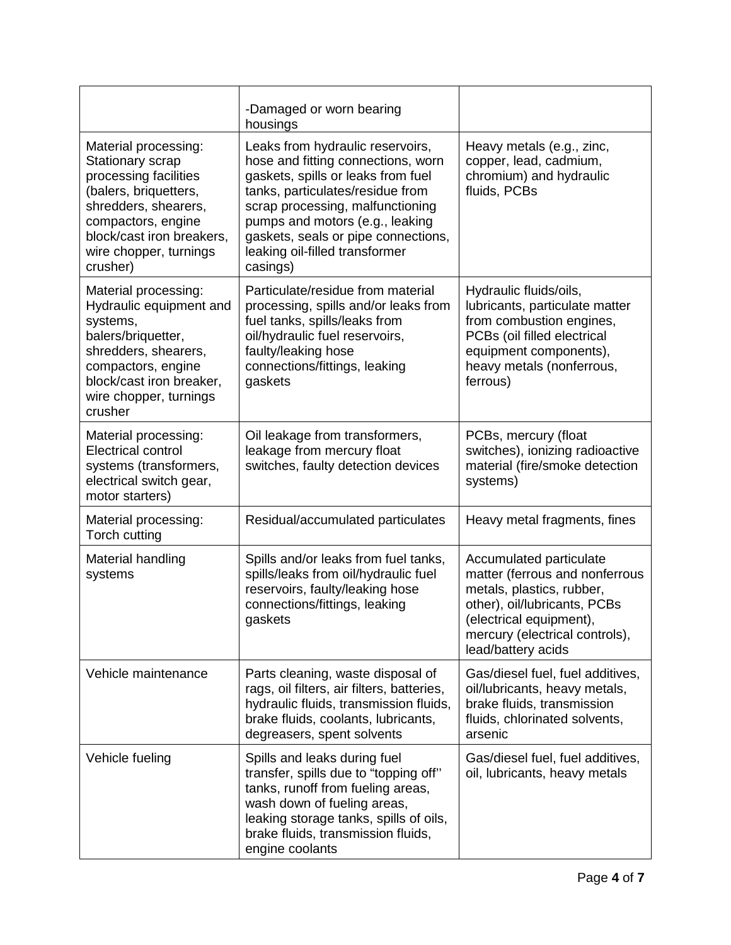|                                                                                                                                                                                                             | -Damaged or worn bearing<br>housings                                                                                                                                                                                                                                                                         |                                                                                                                                                                                                           |
|-------------------------------------------------------------------------------------------------------------------------------------------------------------------------------------------------------------|--------------------------------------------------------------------------------------------------------------------------------------------------------------------------------------------------------------------------------------------------------------------------------------------------------------|-----------------------------------------------------------------------------------------------------------------------------------------------------------------------------------------------------------|
| Material processing:<br>Stationary scrap<br>processing facilities<br>(balers, briquetters,<br>shredders, shearers,<br>compactors, engine<br>block/cast iron breakers,<br>wire chopper, turnings<br>crusher) | Leaks from hydraulic reservoirs,<br>hose and fitting connections, worn<br>gaskets, spills or leaks from fuel<br>tanks, particulates/residue from<br>scrap processing, malfunctioning<br>pumps and motors (e.g., leaking<br>gaskets, seals or pipe connections,<br>leaking oil-filled transformer<br>casings) | Heavy metals (e.g., zinc,<br>copper, lead, cadmium,<br>chromium) and hydraulic<br>fluids, PCBs                                                                                                            |
| Material processing:<br>Hydraulic equipment and<br>systems,<br>balers/briquetter,<br>shredders, shearers,<br>compactors, engine<br>block/cast iron breaker,<br>wire chopper, turnings<br>crusher            | Particulate/residue from material<br>processing, spills and/or leaks from<br>fuel tanks, spills/leaks from<br>oil/hydraulic fuel reservoirs,<br>faulty/leaking hose<br>connections/fittings, leaking<br>gaskets                                                                                              | Hydraulic fluids/oils,<br>lubricants, particulate matter<br>from combustion engines,<br>PCBs (oil filled electrical<br>equipment components),<br>heavy metals (nonferrous,<br>ferrous)                    |
| Material processing:<br><b>Electrical control</b><br>systems (transformers,<br>electrical switch gear,<br>motor starters)                                                                                   | Oil leakage from transformers,<br>leakage from mercury float<br>switches, faulty detection devices                                                                                                                                                                                                           | PCBs, mercury (float<br>switches), ionizing radioactive<br>material (fire/smoke detection<br>systems)                                                                                                     |
| Material processing:<br>Torch cutting                                                                                                                                                                       | Residual/accumulated particulates                                                                                                                                                                                                                                                                            | Heavy metal fragments, fines                                                                                                                                                                              |
| Material handling<br>systems                                                                                                                                                                                | Spills and/or leaks from fuel tanks,<br>spills/leaks from oil/hydraulic fuel<br>reservoirs, faulty/leaking hose<br>connections/fittings, leaking<br>gaskets                                                                                                                                                  | Accumulated particulate<br>matter (ferrous and nonferrous<br>metals, plastics, rubber,<br>other), oil/lubricants, PCBs<br>(electrical equipment),<br>mercury (electrical controls),<br>lead/battery acids |
| Vehicle maintenance                                                                                                                                                                                         | Parts cleaning, waste disposal of<br>rags, oil filters, air filters, batteries,<br>hydraulic fluids, transmission fluids,<br>brake fluids, coolants, lubricants,<br>degreasers, spent solvents                                                                                                               | Gas/diesel fuel, fuel additives,<br>oil/lubricants, heavy metals,<br>brake fluids, transmission<br>fluids, chlorinated solvents,<br>arsenic                                                               |
| Vehicle fueling                                                                                                                                                                                             | Spills and leaks during fuel<br>transfer, spills due to "topping off"<br>tanks, runoff from fueling areas,<br>wash down of fueling areas,<br>leaking storage tanks, spills of oils,<br>brake fluids, transmission fluids,<br>engine coolants                                                                 | Gas/diesel fuel, fuel additives,<br>oil, lubricants, heavy metals                                                                                                                                         |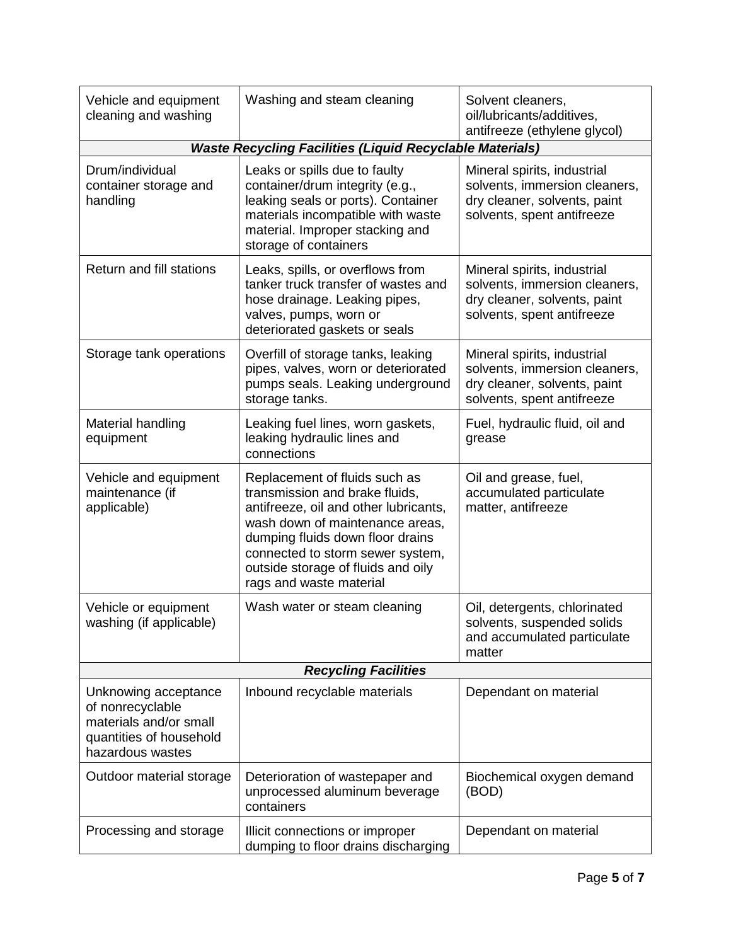| Vehicle and equipment<br>cleaning and washing                                                                     | Washing and steam cleaning                                                                                                                                                                                                                                                           | Solvent cleaners,<br>oil/lubricants/additives,<br>antifreeze (ethylene glycol)                                             |  |  |  |
|-------------------------------------------------------------------------------------------------------------------|--------------------------------------------------------------------------------------------------------------------------------------------------------------------------------------------------------------------------------------------------------------------------------------|----------------------------------------------------------------------------------------------------------------------------|--|--|--|
|                                                                                                                   | <b>Waste Recycling Facilities (Liquid Recyclable Materials)</b>                                                                                                                                                                                                                      |                                                                                                                            |  |  |  |
| Drum/individual<br>container storage and<br>handling                                                              | Leaks or spills due to faulty<br>container/drum integrity (e.g.,<br>leaking seals or ports). Container<br>materials incompatible with waste<br>material. Improper stacking and<br>storage of containers                                                                              | Mineral spirits, industrial<br>solvents, immersion cleaners,<br>dry cleaner, solvents, paint<br>solvents, spent antifreeze |  |  |  |
| Return and fill stations                                                                                          | Leaks, spills, or overflows from<br>tanker truck transfer of wastes and<br>hose drainage. Leaking pipes,<br>valves, pumps, worn or<br>deteriorated gaskets or seals                                                                                                                  | Mineral spirits, industrial<br>solvents, immersion cleaners,<br>dry cleaner, solvents, paint<br>solvents, spent antifreeze |  |  |  |
| Storage tank operations                                                                                           | Overfill of storage tanks, leaking<br>pipes, valves, worn or deteriorated<br>pumps seals. Leaking underground<br>storage tanks.                                                                                                                                                      | Mineral spirits, industrial<br>solvents, immersion cleaners,<br>dry cleaner, solvents, paint<br>solvents, spent antifreeze |  |  |  |
| Material handling<br>equipment                                                                                    | Leaking fuel lines, worn gaskets,<br>leaking hydraulic lines and<br>connections                                                                                                                                                                                                      | Fuel, hydraulic fluid, oil and<br>grease                                                                                   |  |  |  |
| Vehicle and equipment<br>maintenance (if<br>applicable)                                                           | Replacement of fluids such as<br>transmission and brake fluids,<br>antifreeze, oil and other lubricants,<br>wash down of maintenance areas,<br>dumping fluids down floor drains<br>connected to storm sewer system,<br>outside storage of fluids and oily<br>rags and waste material | Oil and grease, fuel,<br>accumulated particulate<br>matter, antifreeze                                                     |  |  |  |
| Vehicle or equipment<br>washing (if applicable)                                                                   | Wash water or steam cleaning                                                                                                                                                                                                                                                         | Oil, detergents, chlorinated<br>solvents, suspended solids<br>and accumulated particulate<br>matter                        |  |  |  |
| <b>Recycling Facilities</b>                                                                                       |                                                                                                                                                                                                                                                                                      |                                                                                                                            |  |  |  |
| Unknowing acceptance<br>of nonrecyclable<br>materials and/or small<br>quantities of household<br>hazardous wastes | Inbound recyclable materials                                                                                                                                                                                                                                                         | Dependant on material                                                                                                      |  |  |  |
| Outdoor material storage                                                                                          | Deterioration of wastepaper and<br>unprocessed aluminum beverage<br>containers                                                                                                                                                                                                       | Biochemical oxygen demand<br>(BOD)                                                                                         |  |  |  |
| Processing and storage                                                                                            | Illicit connections or improper<br>dumping to floor drains discharging                                                                                                                                                                                                               | Dependant on material                                                                                                      |  |  |  |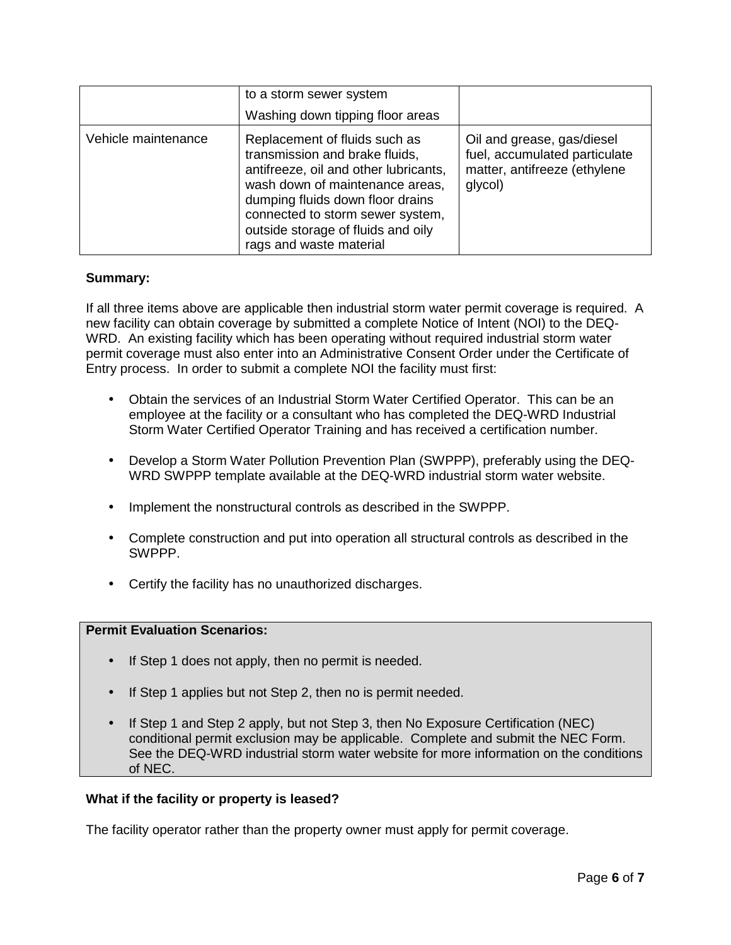|                     | to a storm sewer system<br>Washing down tipping floor areas                                                                                                                                                                                                                          |                                                                                                        |
|---------------------|--------------------------------------------------------------------------------------------------------------------------------------------------------------------------------------------------------------------------------------------------------------------------------------|--------------------------------------------------------------------------------------------------------|
| Vehicle maintenance | Replacement of fluids such as<br>transmission and brake fluids,<br>antifreeze, oil and other lubricants,<br>wash down of maintenance areas,<br>dumping fluids down floor drains<br>connected to storm sewer system,<br>outside storage of fluids and oily<br>rags and waste material | Oil and grease, gas/diesel<br>fuel, accumulated particulate<br>matter, antifreeze (ethylene<br>glycol) |

## **Summary:**

If all three items above are applicable then industrial storm water permit coverage is required. A new facility can obtain coverage by submitted a complete Notice of Intent (NOI) to the DEQ-WRD. An existing facility which has been operating without required industrial storm water permit coverage must also enter into an Administrative Consent Order under the Certificate of Entry process. In order to submit a complete NOI the facility must first:

- Obtain the services of an Industrial Storm Water Certified Operator. This can be an employee at the facility or a consultant who has completed the DEQ-WRD Industrial Storm Water Certified Operator Training and has received a certification number.
- Develop a Storm Water Pollution Prevention Plan (SWPPP), preferably using the DEQ-WRD SWPPP template available at the DEQ-WRD industrial storm water website.
- Implement the nonstructural controls as described in the SWPPP.
- Complete construction and put into operation all structural controls as described in the SWPPP.
- Certify the facility has no unauthorized discharges.

# **Permit Evaluation Scenarios:**

- If Step 1 does not apply, then no permit is needed.
- If Step 1 applies but not Step 2, then no is permit needed.
- If Step 1 and Step 2 apply, but not Step 3, then No Exposure Certification (NEC) conditional permit exclusion may be applicable. Complete and submit the NEC Form. See the DEQ-WRD industrial storm water website for more information on the conditions of NEC.

#### **What if the facility or property is leased?**

The facility operator rather than the property owner must apply for permit coverage.